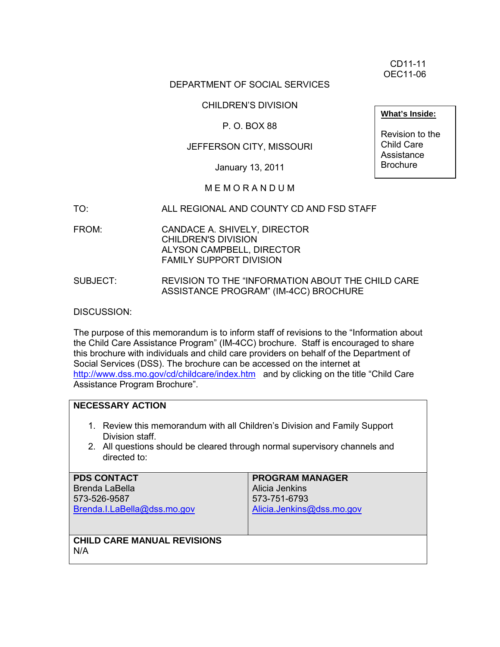CD11-11 OEC11-06

#### DEPARTMENT OF SOCIAL SERVICES

# CHILDREN'S DIVISION

## P. O. BOX 88

## JEFFERSON CITY, MISSOURI

January 13, 2011

#### M E M O R A N D U M

- TO: ALL REGIONAL AND COUNTY CD AND FSD STAFF
- FROM: CANDACE A. SHIVELY, DIRECTOR CHILDREN'S DIVISION ALYSON CAMPBELL, DIRECTOR FAMILY SUPPORT DIVISION
- SUBJECT: REVISION TO THE "INFORMATION ABOUT THE CHILD CARE ASSISTANCE PROGRAM" (IM-4CC) BROCHURE

DISCUSSION:

The purpose of this memorandum is to inform staff of revisions to the "Information about the Child Care Assistance Program" (IM-4CC) brochure. Staff is encouraged to share this brochure with individuals and child care providers on behalf of the Department of Social Services (DSS). The brochure can be accessed on the internet at <http://www.dss.mo.gov/cd/childcare/index.htm> and by clicking on the title "Child Care Assistance Program Brochure".

# **NECESSARY ACTION** 1. Review this memorandum with all Children's Division and Family Support Division staff. 2. All questions should be cleared through normal supervisory channels and directed to: **PDC CONTACT PROGRAM MANAGER**

| <b>FUJ UUNTAUT</b>                 | <b>FRUURAM MANAUER</b>    |
|------------------------------------|---------------------------|
| Brenda LaBella                     | Alicia Jenkins            |
| 573-526-9587                       | 573-751-6793              |
| Brenda.I.LaBella@dss.mo.gov        | Alicia.Jenkins@dss.mo.gov |
|                                    |                           |
|                                    |                           |
| <b>CHILD CARE MANUAL REVISIONS</b> |                           |
| N/A                                |                           |
|                                    |                           |

**What's Inside:**

Revision to the Child Care Assistance Brochure